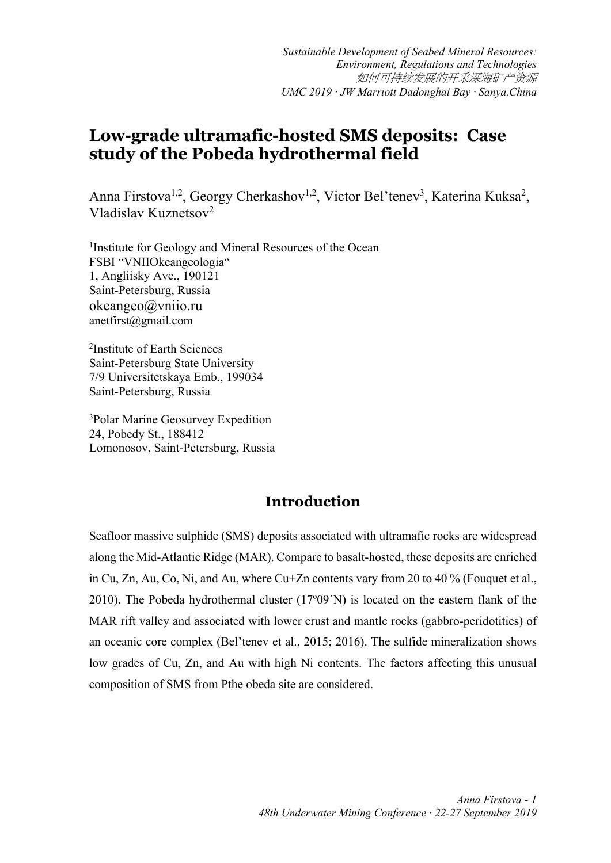# **Low-grade ultramafic-hosted SMS deposits: Case study of the Pobeda hydrothermal field**

Anna Firstova<sup>1,2</sup>, Georgy Cherkashov<sup>1,2</sup>, Victor Bel'tenev<sup>3</sup>, Katerina Kuksa<sup>2</sup>, Vladislav Kuznetsov2

<sup>1</sup>Institute for Geology and Mineral Resources of the Ocean FSBI "VNIIOkeangeologia" 1, Angliisky Ave., 190121 Saint-Petersburg, Russia okeangeo@vniio.ru anetfirst@gmail.com

2 Institute of Earth Sciences Saint-Petersburg State University 7/9 Universitetskaya Emb., 199034 Saint-Petersburg, Russia

3 Polar Marine Geosurvey Expedition 24, Pobedy St., 188412 Lomonosov, Saint-Petersburg, Russia

## **Introduction**

Seafloor massive sulphide (SMS) deposits associated with ultramafic rocks are widespread along the Mid-Atlantic Ridge (MAR). Compare to basalt-hosted, these deposits are enriched in Cu, Zn, Au, Co, Ni, and Au, where Cu+Zn contents vary from 20 to 40 % (Fouquet et al., 2010). The Pobeda hydrothermal cluster (17º09´N) is located on the eastern flank of the MAR rift valley and associated with lower crust and mantle rocks (gabbro-peridotities) of an oceanic core complex (Bel'tenev et al., 2015; 2016). The sulfide mineralization shows low grades of Cu, Zn, and Au with high Ni contents. The factors affecting this unusual composition of SMS from Pthe obeda site are considered.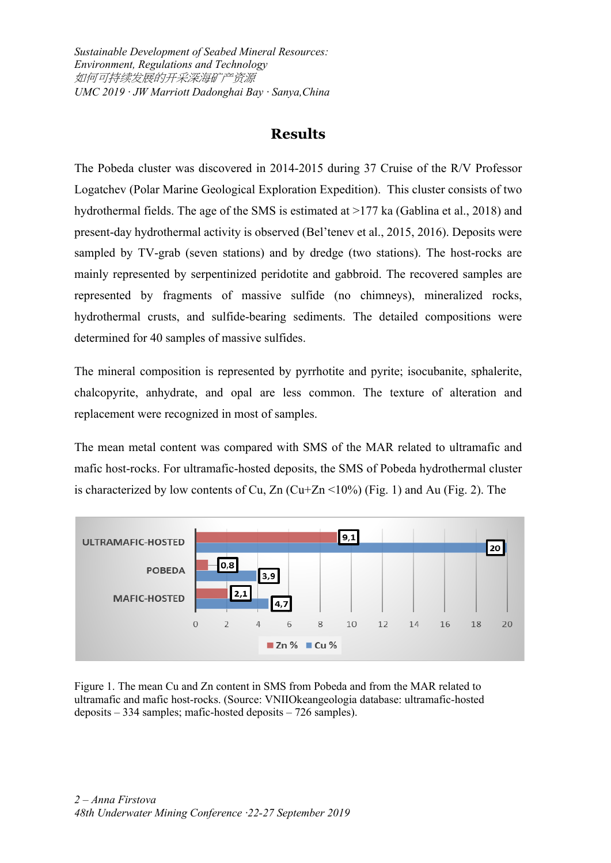*Sustainable Development of Seabed Mineral Resources: Environment, Regulations and Technology* 如何可持续发展的开采深海矿产资源 *UMC 2019 · JW Marriott Dadonghai Bay · Sanya,China*

### **Results**

The Pobeda cluster was discovered in 2014-2015 during 37 Cruise of the R/V Professor Logatchev (Polar Marine Geological Exploration Expedition). This cluster consists of two hydrothermal fields. The age of the SMS is estimated at >177 ka (Gablina et al., 2018) and present-day hydrothermal activity is observed (Bel'tenev et al., 2015, 2016). Deposits were sampled by TV-grab (seven stations) and by dredge (two stations). The host-rocks are mainly represented by serpentinized peridotite and gabbroid. The recovered samples are represented by fragments of massive sulfide (no chimneys), mineralized rocks, hydrothermal crusts, and sulfide-bearing sediments. The detailed compositions were determined for 40 samples of massive sulfides.

The mineral composition is represented by pyrrhotite and pyrite; isocubanite, sphalerite, chalcopyrite, anhydrate, and opal are less common. The texture of alteration and replacement were recognized in most of samples.

The mean metal content was compared with SMS of the MAR related to ultramafic and mafic host-rocks. For ultramafic-hosted deposits, the SMS of Pobeda hydrothermal cluster is characterized by low contents of Cu,  $Zn$  (Cu+Zn <10%) (Fig. 1) and Au (Fig. 2). The



Figure 1. The mean Cu and Zn content in SMS from Pobeda and from the MAR related to ultramafic and mafic host-rocks. (Source: VNIIOkeangeologia database: ultramafic-hosted deposits – 334 samples; mafic-hosted deposits – 726 samples).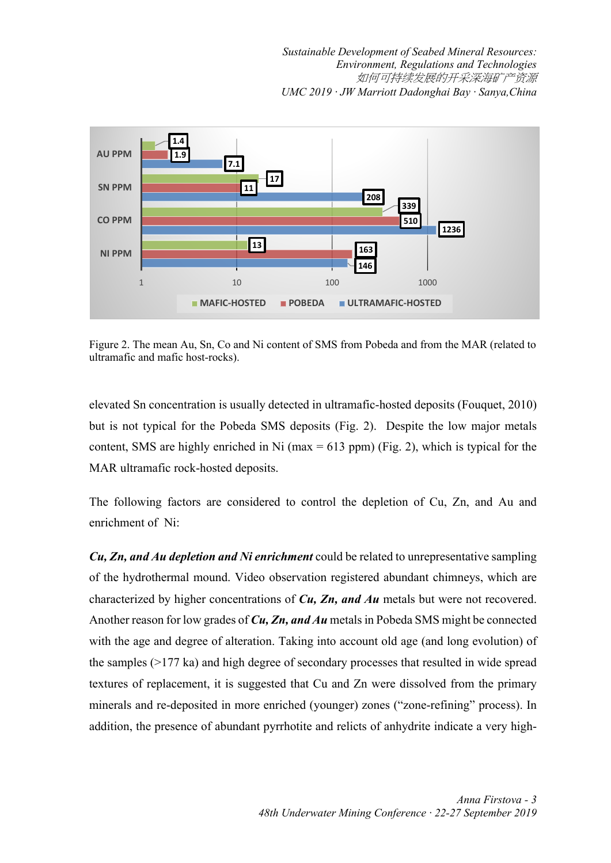*Sustainable Development of Seabed Mineral Resources: Environment, Regulations and Technologies* 如何可持续发展的开采深海矿产资源 *UMC 2019 · JW Marriott Dadonghai Bay · Sanya,China*



Figure 2. The mean Au, Sn, Co and Ni content of SMS from Pobeda and from the MAR (related to ultramafic and mafic host-rocks).

elevated Sn concentration is usually detected in ultramafic-hosted deposits (Fouquet, 2010) but is not typical for the Pobeda SMS deposits (Fig. 2). Despite the low major metals content, SMS are highly enriched in Ni (max  $= 613$  ppm) (Fig. 2), which is typical for the MAR ultramafic rock-hosted deposits.

The following factors are considered to control the depletion of Cu, Zn, and Au and enrichment of Ni:

*Cu, Zn, and Au depletion and Ni enrichment* could be related to unrepresentative sampling of the hydrothermal mound. Video observation registered abundant chimneys, which are characterized by higher concentrations of *Cu, Zn, and Au* metals but were not recovered. Another reason for low grades of *Cu, Zn, and Au* metalsin Pobeda SMS might be connected with the age and degree of alteration. Taking into account old age (and long evolution) of the samples (>177 ka) and high degree of secondary processes that resulted in wide spread textures of replacement, it is suggested that Cu and Zn were dissolved from the primary minerals and re-deposited in more enriched (younger) zones ("zone-refining" process). In addition, the presence of abundant pyrrhotite and relicts of anhydrite indicate a very high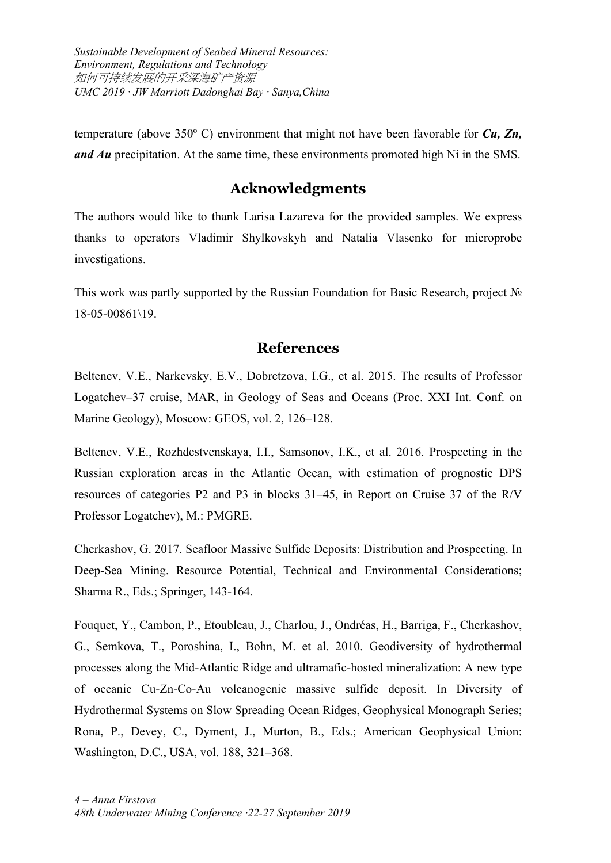*Sustainable Development of Seabed Mineral Resources: Environment, Regulations and Technology* 如何可持续发展的开采深海矿产资源 *UMC 2019 · JW Marriott Dadonghai Bay · Sanya,China*

temperature (above 350º C) environment that might not have been favorable for *Cu, Zn, and Au* precipitation. At the same time, these environments promoted high Ni in the SMS.

#### **Acknowledgments**

The authors would like to thank Larisa Lazareva for the provided samples. We express thanks to operators Vladimir Shylkovskyh and Natalia Vlasenko for microprobe investigations.

This work was partly supported by the Russian Foundation for Basic Research, project № 18-05-00861\19.

#### **References**

Beltenev, V.E., Narkevsky, E.V., Dobretzova, I.G., et al. 2015. The results of Professor Logatchev–37 cruise, MAR, in Geology of Seas and Oceans (Proc. XXI Int. Conf. on Marine Geology), Moscow: GEOS, vol. 2, 126–128.

Beltenev, V.E., Rozhdestvenskaya, I.I., Samsonov, I.K., et al. 2016. Prospecting in the Russian exploration areas in the Atlantic Ocean, with estimation of prognostic DPS resources of categories P2 and P3 in blocks 31–45, in Report on Cruise 37 of the R/V Professor Logatchev), M.: PMGRE.

Cherkashov, G. 2017. Seafloor Massive Sulfide Deposits: Distribution and Prospecting. In Deep-Sea Mining. Resource Potential, Technical and Environmental Considerations; Sharma R., Eds.; Springer, 143-164.

Fouquet, Y., Cambon, P., Etoubleau, J., Charlou, J., Ondréas, H., Barriga, F., Cherkashov, G., Semkova, T., Poroshina, I., Bohn, M. et al. 2010. Geodiversity of hydrothermal processes along the Mid-Atlantic Ridge and ultramafic-hosted mineralization: A new type of oceanic Cu-Zn-Co-Au volcanogenic massive sulfide deposit. In Diversity of Hydrothermal Systems on Slow Spreading Ocean Ridges, Geophysical Monograph Series; Rona, P., Devey, C., Dyment, J., Murton, B., Eds.; American Geophysical Union: Washington, D.C., USA, vol. 188, 321–368.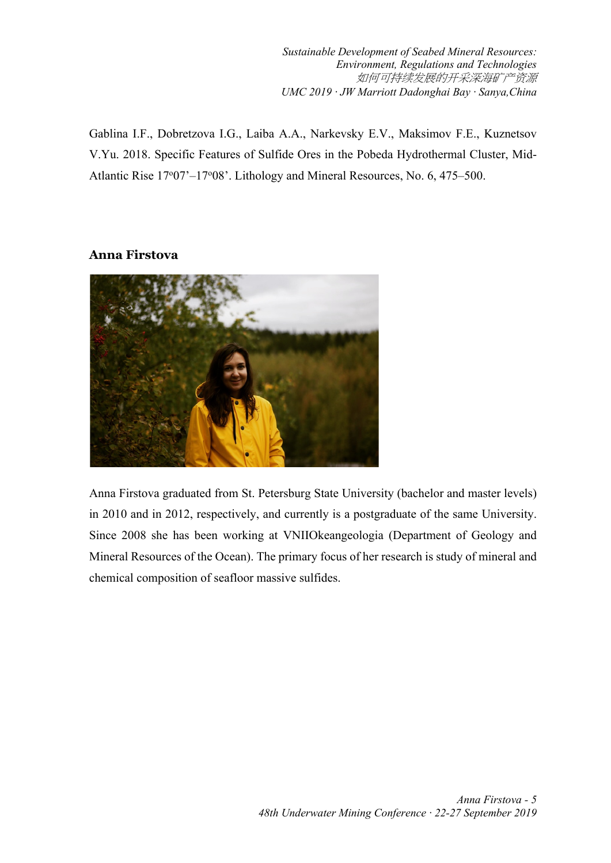*Sustainable Development of Seabed Mineral Resources: Environment, Regulations and Technologies* 如何可持续发展的开采深海矿产资源 *UMC 2019 · JW Marriott Dadonghai Bay · Sanya,China*

Gablina I.F., Dobretzova I.G., Laiba A.A., Narkevsky E.V., Maksimov F.E., Kuznetsov V.Yu. 2018. Specific Features of Sulfide Ores in the Pobeda Hydrothermal Cluster, Mid-Atlantic Rise 17°07'-17°08'. Lithology and Mineral Resources, No. 6, 475-500.

#### **Anna Firstova**



Anna Firstova graduated from St. Petersburg State University (bachelor and master levels) in 2010 and in 2012, respectively, and currently is a postgraduate of the same University. Since 2008 she has been working at VNIIOkeangeologia (Department of Geology and Mineral Resources of the Ocean). The primary focus of her research is study of mineral and chemical composition of seafloor massive sulfides.